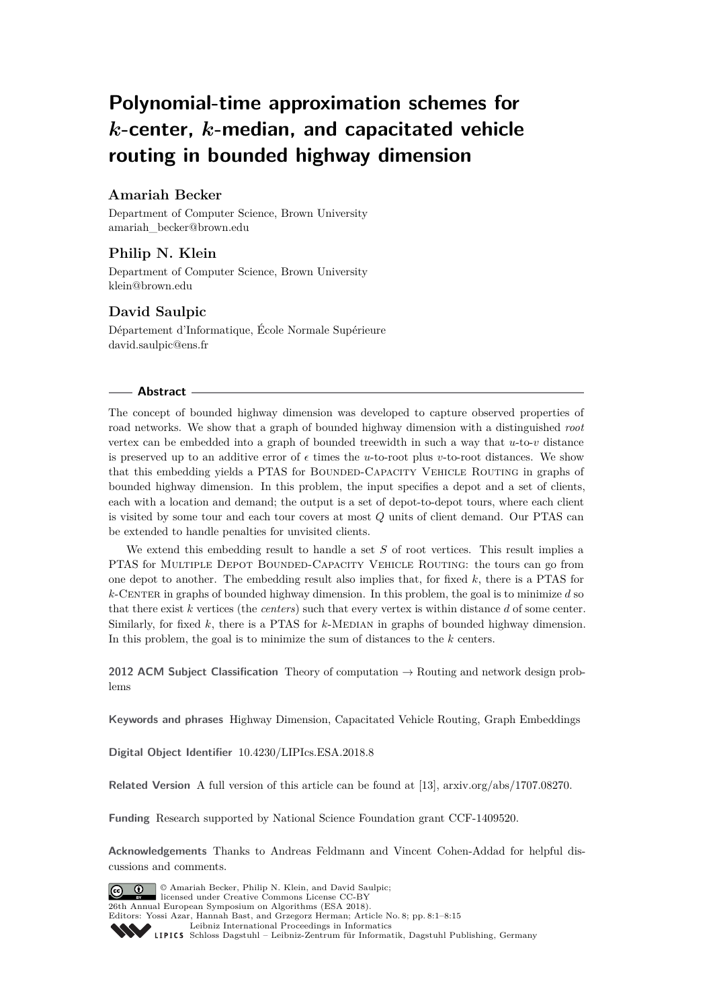# **Polynomial-time approximation schemes for** *k***-center,** *k***-median, and capacitated vehicle routing in bounded highway dimension**

# **Amariah Becker**

Department of Computer Science, Brown University [amariah\\_becker@brown.edu](mailto:amariah_becker@brown.edu)

# **Philip N. Klein**

Department of Computer Science, Brown University [klein@brown.edu](mailto:klein@brown.edu)

# **David Saulpic**

Département d'Informatique, École Normale Supérieure [david.saulpic@ens.fr](mailto:david.saulpic@ens.fr)

### **Abstract**

The concept of bounded highway dimension was developed to capture observed properties of road networks. We show that a graph of bounded highway dimension with a distinguished *root* vertex can be embedded into a graph of bounded treewidth in such a way that *u*-to-*v* distance is preserved up to an additive error of  $\epsilon$  times the *u*-to-root plus *v*-to-root distances. We show that this embedding yields a PTAS for BOUNDED-CAPACITY VEHICLE ROUTING in graphs of bounded highway dimension. In this problem, the input specifies a depot and a set of clients, each with a location and demand; the output is a set of depot-to-depot tours, where each client is visited by some tour and each tour covers at most *Q* units of client demand. Our PTAS can be extended to handle penalties for unvisited clients.

We extend this embedding result to handle a set *S* of root vertices. This result implies a PTAS for Multiple Depot Bounded-Capacity Vehicle Routing: the tours can go from one depot to another. The embedding result also implies that, for fixed *k*, there is a PTAS for  $k$ -CENTER in graphs of bounded highway dimension. In this problem, the goal is to minimize  $d$  so that there exist *k* vertices (the *centers*) such that every vertex is within distance *d* of some center. Similarly, for fixed k, there is a PTAS for k-MEDIAN in graphs of bounded highway dimension. In this problem, the goal is to minimize the sum of distances to the *k* centers.

**2012 ACM Subject Classification** Theory of computation → Routing and network design problems

**Keywords and phrases** Highway Dimension, Capacitated Vehicle Routing, Graph Embeddings

**Digital Object Identifier** [10.4230/LIPIcs.ESA.2018.8](http://dx.doi.org/10.4230/LIPIcs.ESA.2018.8)

**Related Version** A full version of this article can be found at [\[13\]](#page-13-0), [arxiv.org/abs/1707.08270.](https://arxiv.org/abs/1707.08270)

**Funding** Research supported by National Science Foundation grant CCF-1409520.

**Acknowledgements** Thanks to Andreas Feldmann and Vincent Cohen-Addad for helpful discussions and comments.



© Amariah Becker, Philip N. Klein, and David Saulpic; licensed under Creative Commons License CC-BY 26th Annual European Symposium on Algorithms (ESA 2018). Editors: Yossi Azar, Hannah Bast, and Grzegorz Herman; Article No. 8; pp. 8:1–8[:15](#page-14-0)

[Leibniz International Proceedings in Informatics](http://www.dagstuhl.de/lipics/)

Leibniz International Froceedings in Informatik, Dagstuhl Publishing, Germany<br>LIPICS [Schloss Dagstuhl – Leibniz-Zentrum für Informatik, Dagstuhl Publishing, Germany](http://www.dagstuhl.de)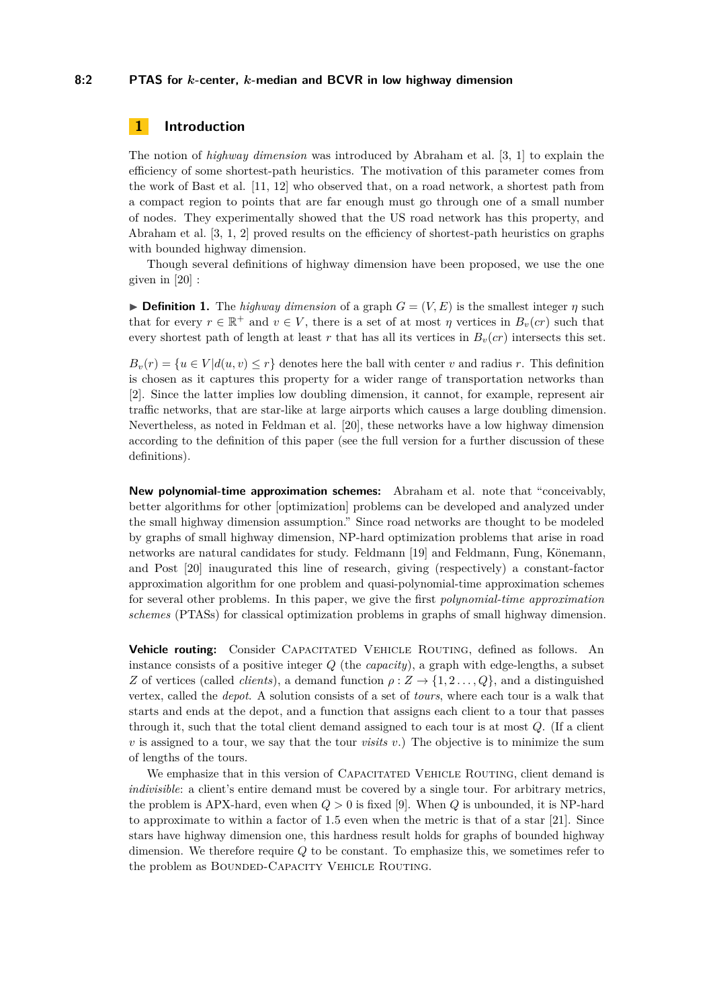### **8:2 PTAS for** *k***-center,** *k***-median and BCVR in low highway dimension**

# **1 Introduction**

The notion of *highway dimension* was introduced by Abraham et al. [\[3,](#page-12-0) [1\]](#page-12-1) to explain the efficiency of some shortest-path heuristics. The motivation of this parameter comes from the work of Bast et al. [\[11,](#page-13-1) [12\]](#page-13-2) who observed that, on a road network, a shortest path from a compact region to points that are far enough must go through one of a small number of nodes. They experimentally showed that the US road network has this property, and Abraham et al. [\[3,](#page-12-0) [1,](#page-12-1) [2\]](#page-12-2) proved results on the efficiency of shortest-path heuristics on graphs with bounded highway dimension.

Though several definitions of highway dimension have been proposed, we use the one given in [\[20\]](#page-13-3) :

**Definition 1.** The *highway dimension* of a graph  $G = (V, E)$  is the smallest integer  $\eta$  such that for every  $r \in \mathbb{R}^+$  and  $v \in V$ , there is a set of at most  $\eta$  vertices in  $B_v(cr)$  such that every shortest path of length at least *r* that has all its vertices in  $B_v$ (*cr*) intersects this set.

 $B_v(r) = \{u \in V | d(u, v) \leq r\}$  denotes here the ball with center *v* and radius *r*. This definition is chosen as it captures this property for a wider range of transportation networks than [\[2\]](#page-12-2). Since the latter implies low doubling dimension, it cannot, for example, represent air traffic networks, that are star-like at large airports which causes a large doubling dimension. Nevertheless, as noted in Feldman et al. [\[20\]](#page-13-3), these networks have a low highway dimension according to the definition of this paper (see the full version for a further discussion of these definitions).

**New polynomial-time approximation schemes:** Abraham et al. note that "conceivably, better algorithms for other [optimization] problems can be developed and analyzed under the small highway dimension assumption." Since road networks are thought to be modeled by graphs of small highway dimension, NP-hard optimization problems that arise in road networks are natural candidates for study. Feldmann [\[19\]](#page-13-4) and Feldmann, Fung, Könemann, and Post [\[20\]](#page-13-3) inaugurated this line of research, giving (respectively) a constant-factor approximation algorithm for one problem and quasi-polynomial-time approximation schemes for several other problems. In this paper, we give the first *polynomial-time approximation schemes* (PTASs) for classical optimization problems in graphs of small highway dimension.

**Vehicle routing:** Consider CAPACITATED VEHICLE ROUTING, defined as follows. An instance consists of a positive integer *Q* (the *capacity*), a graph with edge-lengths, a subset *Z* of vertices (called *clients*), a demand function  $\rho$  :  $Z \rightarrow \{1, 2, ..., Q\}$ , and a distinguished vertex, called the *depot*. A solution consists of a set of *tours*, where each tour is a walk that starts and ends at the depot, and a function that assigns each client to a tour that passes through it, such that the total client demand assigned to each tour is at most *Q*. (If a client  $v$  is assigned to a tour, we say that the tour *visits*  $v$ .) The objective is to minimize the sum of lengths of the tours.

We emphasize that in this version of CAPACITATED VEHICLE ROUTING, client demand is *indivisible*: a client's entire demand must be covered by a single tour. For arbitrary metrics, the problem is APX-hard, even when *Q >* 0 is fixed [\[9\]](#page-12-3). When *Q* is unbounded, it is NP-hard to approximate to within a factor of 1.5 even when the metric is that of a star [\[21\]](#page-13-5). Since stars have highway dimension one, this hardness result holds for graphs of bounded highway dimension. We therefore require *Q* to be constant. To emphasize this, we sometimes refer to the problem as BOUNDED-CAPACITY VEHICLE ROUTING.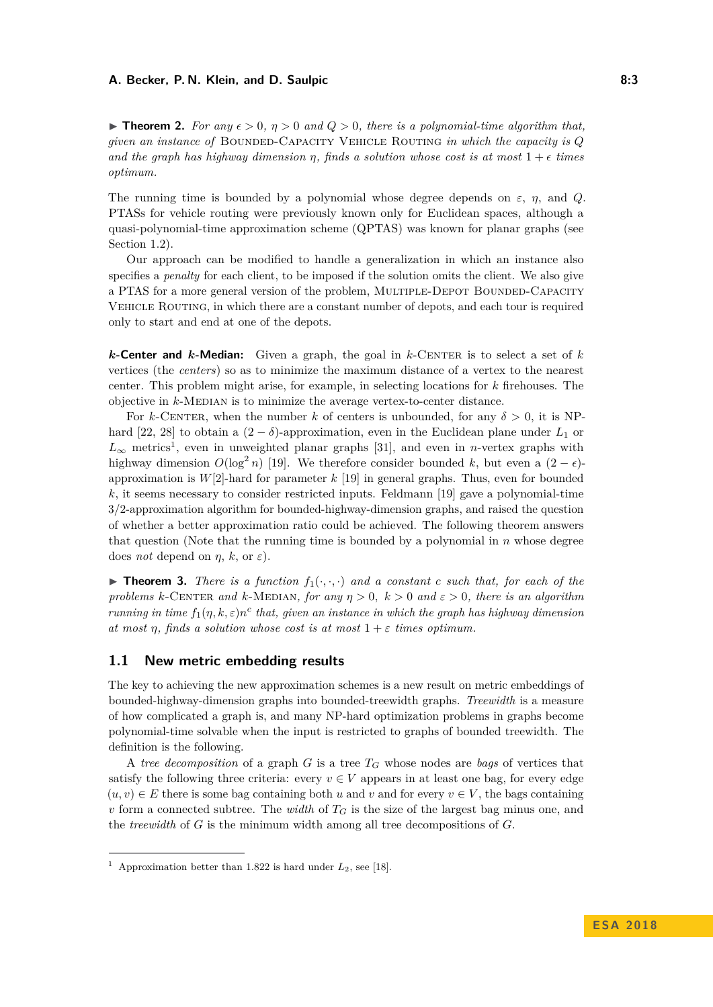<span id="page-2-1"></span>**Figure 12.** For any  $\epsilon > 0$ ,  $\eta > 0$  and  $Q > 0$ , there is a polynomial-time algorithm that, *given an instance of* Bounded-Capacity Vehicle Routing *in which the capacity is Q and the graph has highway dimension η*, finds a solution whose cost is at most  $1 + \epsilon$  times *optimum.*

The running time is bounded by a polynomial whose degree depends on  $\varepsilon$ , *η*, and *Q*. PTASs for vehicle routing were previously known only for Euclidean spaces, although a quasi-polynomial-time approximation scheme (QPTAS) was known for planar graphs (see Section [1.2\)](#page-3-0).

Our approach can be modified to handle a generalization in which an instance also specifies a *penalty* for each client, to be imposed if the solution omits the client. We also give a PTAS for a more general version of the problem, MULTIPLE-DEPOT BOUNDED-CAPACITY Vehicle Routing, in which there are a constant number of depots, and each tour is required only to start and end at one of the depots.

*k*-Center and *k*-Median: Given a graph, the goal in *k*-CENTER is to select a set of *k* vertices (the *centers*) so as to minimize the maximum distance of a vertex to the nearest center. This problem might arise, for example, in selecting locations for *k* firehouses. The objective in  $k$ -MEDIAN is to minimize the average vertex-to-center distance.

For *k*-CENTER, when the number *k* of centers is unbounded, for any  $\delta > 0$ , it is NP-hard [\[22,](#page-13-6) [28\]](#page-13-7) to obtain a  $(2 - \delta)$ -approximation, even in the Euclidean plane under  $L_1$  or  $L_{\infty}$  metrics<sup>[1](#page-2-0)</sup>, even in unweighted planar graphs [\[31\]](#page-14-1), and even in *n*-vertex graphs with highway dimension  $O(\log^2 n)$  [\[19\]](#page-13-4). We therefore consider bounded k, but even a  $(2 - \epsilon)$ approximation is *W*[2]-hard for parameter *k* [\[19\]](#page-13-4) in general graphs. Thus, even for bounded *k*, it seems necessary to consider restricted inputs. Feldmann [\[19\]](#page-13-4) gave a polynomial-time 3/2-approximation algorithm for bounded-highway-dimension graphs, and raised the question of whether a better approximation ratio could be achieved. The following theorem answers that question (Note that the running time is bounded by a polynomial in *n* whose degree does *not* depend on  $\eta$ ,  $k$ , or  $\varepsilon$ ).

**Theorem 3.** *There is a function*  $f_1(\cdot, \cdot, \cdot)$  *and a constant c such that, for each of the problems*  $k$ -CENTER *and*  $k$ -MEDIAN, for any  $\eta > 0$ ,  $k > 0$  and  $\varepsilon > 0$ , there is an algorithm *running in time*  $f_1(\eta, k, \varepsilon) n^c$  *that, given an instance in which the graph has highway dimension at most η, finds a solution whose cost is at most*  $1 + \varepsilon$  *times optimum.* 

# **1.1 New metric embedding results**

The key to achieving the new approximation schemes is a new result on metric embeddings of bounded-highway-dimension graphs into bounded-treewidth graphs. *Treewidth* is a measure of how complicated a graph is, and many NP-hard optimization problems in graphs become polynomial-time solvable when the input is restricted to graphs of bounded treewidth. The definition is the following.

A *tree decomposition* of a graph *G* is a tree *T<sup>G</sup>* whose nodes are *bags* of vertices that satisfy the following three criteria: every  $v \in V$  appears in at least one bag, for every edge  $(u, v) \in E$  there is some bag containing both *u* and *v* and for every  $v \in V$ , the bags containing *v* form a connected subtree. The *width* of *T<sup>G</sup>* is the size of the largest bag minus one, and the *treewidth* of *G* is the minimum width among all tree decompositions of *G*.

<span id="page-2-0"></span><sup>&</sup>lt;sup>1</sup> Approximation better than 1.822 is hard under  $L_2$ , see [\[18\]](#page-13-8).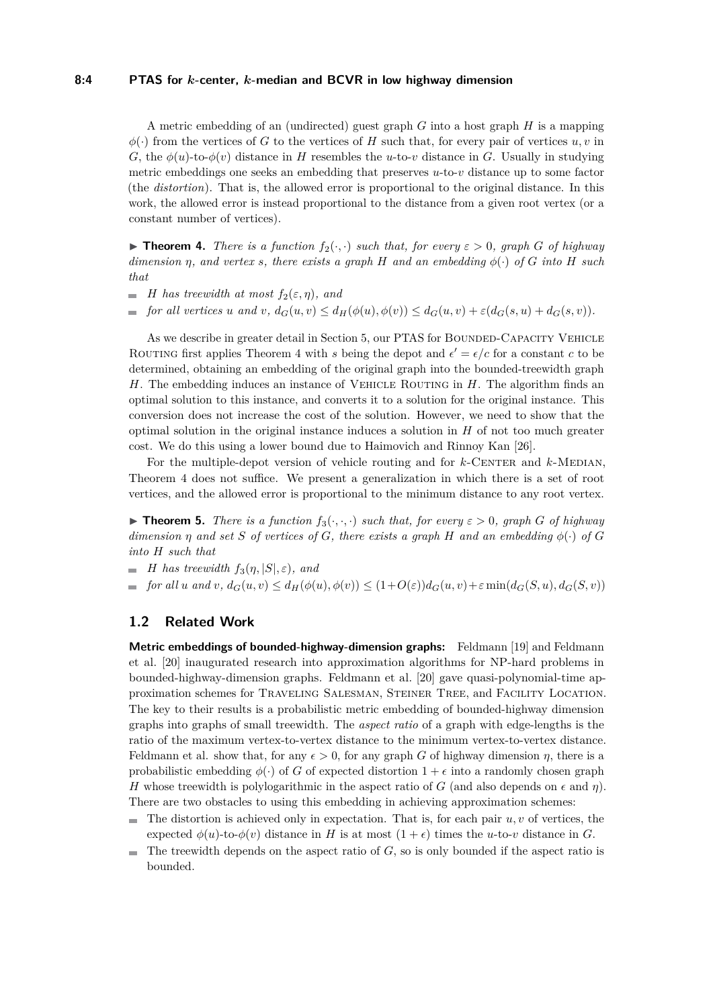#### **8:4 PTAS for** *k***-center,** *k***-median and BCVR in low highway dimension**

A metric embedding of an (undirected) guest graph *G* into a host graph *H* is a mapping  $\phi(\cdot)$  from the vertices of *G* to the vertices of *H* such that, for every pair of vertices *u, v* in *G*, the  $\phi(u)$ -to- $\phi(v)$  distance in *H* resembles the *u*-to-*v* distance in *G*. Usually in studying metric embeddings one seeks an embedding that preserves *u*-to-*v* distance up to some factor (the *distortion*). That is, the allowed error is proportional to the original distance. In this work, the allowed error is instead proportional to the distance from a given root vertex (or a constant number of vertices).

<span id="page-3-1"></span>**Find 1.** *There is a function*  $f_2(\cdot, \cdot)$  *such that, for every*  $\varepsilon > 0$ *, graph G of highway dimension η, and vertex s, there exists a graph H and an embedding φ*(·) *of G into H such that*

- $\blacksquare$  *H* has treewidth at most  $f_2(\varepsilon, \eta)$ *, and*
- for all vertices u and v,  $d_G(u, v) \leq d_H(\phi(u), \phi(v)) \leq d_G(u, v) + \varepsilon (d_G(s, u) + d_G(s, v)).$

As we describe in greater detail in Section [5,](#page-11-0) our PTAS for BOUNDED-CAPACITY VEHICLE ROUTING first applies Theorem [4](#page-3-1) with *s* being the depot and  $\epsilon' = \epsilon/c$  for a constant *c* to be determined, obtaining an embedding of the original graph into the bounded-treewidth graph *H*. The embedding induces an instance of VEHICLE ROUTING in *H*. The algorithm finds an optimal solution to this instance, and converts it to a solution for the original instance. This conversion does not increase the cost of the solution. However, we need to show that the optimal solution in the original instance induces a solution in *H* of not too much greater cost. We do this using a lower bound due to Haimovich and Rinnoy Kan [\[26\]](#page-13-9).

For the multiple-depot version of vehicle routing and for  $k$ -CENTER and  $k$ -MEDIAN, Theorem [4](#page-3-1) does not suffice. We present a generalization in which there is a set of root vertices, and the allowed error is proportional to the minimum distance to any root vertex.

<span id="page-3-2"></span>**Find 5.** *There is a function*  $f_3(\cdot, \cdot, \cdot)$  *such that, for every*  $\varepsilon > 0$ *, graph G of highway dimension*  $\eta$  *and set S of vertices of G, there exists a graph H and an embedding*  $\phi(\cdot)$  *of G into H such that*

- $\blacksquare$  *H* has treewidth  $f_3(\eta, |S|, \varepsilon)$ *, and*
- $\blacksquare$  for all u and v,  $d_G(u, v) \leq d_H(\phi(u), \phi(v)) \leq (1 + O(\varepsilon))d_G(u, v) + \varepsilon \min(d_G(S, u), d_G(S, v))$

### <span id="page-3-0"></span>**1.2 Related Work**

**Metric embeddings of bounded-highway-dimension graphs:** Feldmann [\[19\]](#page-13-4) and Feldmann et al. [\[20\]](#page-13-3) inaugurated research into approximation algorithms for NP-hard problems in bounded-highway-dimension graphs. Feldmann et al. [\[20\]](#page-13-3) gave quasi-polynomial-time approximation schemes for Traveling Salesman, Steiner Tree, and Facility Location. The key to their results is a probabilistic metric embedding of bounded-highway dimension graphs into graphs of small treewidth. The *aspect ratio* of a graph with edge-lengths is the ratio of the maximum vertex-to-vertex distance to the minimum vertex-to-vertex distance. Feldmann et al. show that, for any  $\epsilon > 0$ , for any graph *G* of highway dimension *η*, there is a probabilistic embedding  $\phi(\cdot)$  of *G* of expected distortion  $1 + \epsilon$  into a randomly chosen graph *H* whose treewidth is polylogarithmic in the aspect ratio of *G* (and also depends on  $\epsilon$  and  $\eta$ ). There are two obstacles to using this embedding in achieving approximation schemes:

- $\blacksquare$  The distortion is achieved only in expectation. That is, for each pair *u, v* of vertices, the expected  $\phi(u)$ -to- $\phi(v)$  distance in *H* is at most  $(1+\epsilon)$  times the *u*-to-*v* distance in *G*.
- The treewidth depends on the aspect ratio of *G*, so is only bounded if the aspect ratio is  $\blacksquare$ bounded.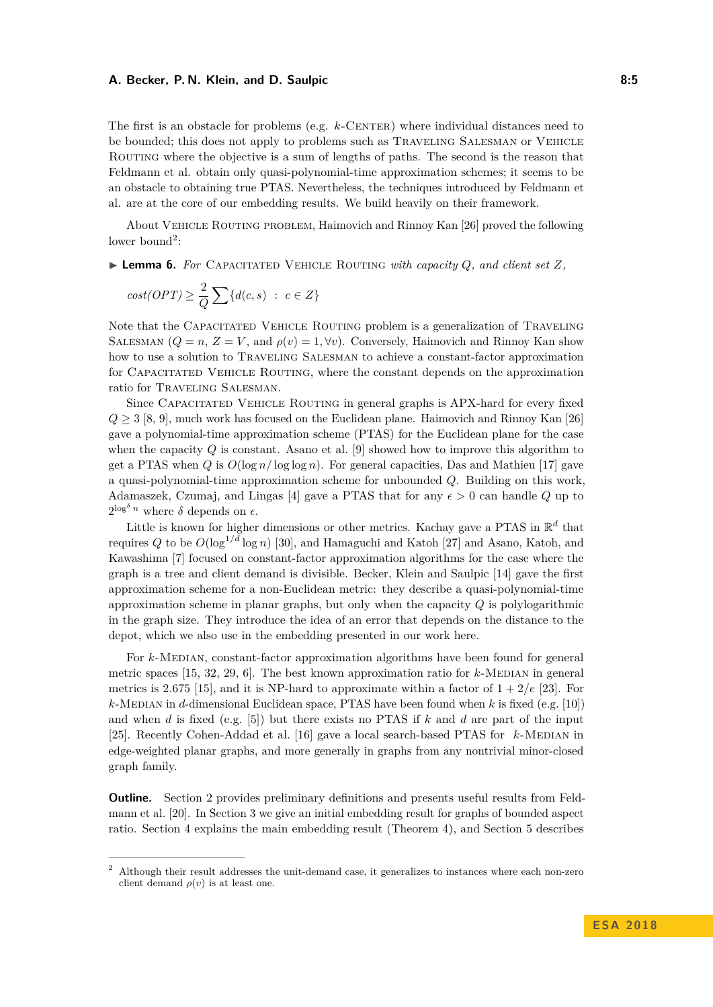The first is an obstacle for problems (e.g. k-CENTER) where individual distances need to be bounded; this does not apply to problems such as Traveling Salesman or Vehicle Routing where the objective is a sum of lengths of paths. The second is the reason that Feldmann et al. obtain only quasi-polynomial-time approximation schemes; it seems to be an obstacle to obtaining true PTAS. Nevertheless, the techniques introduced by Feldmann et al. are at the core of our embedding results. We build heavily on their framework.

About Vehicle Routing problem, Haimovich and Rinnoy Kan [\[26\]](#page-13-9) proved the following lower bound<sup>[2](#page-4-0)</sup>:

<span id="page-4-1"></span> $\triangleright$  **Lemma 6.** For CAPACITATED VEHICLE ROUTING with capacity Q, and client set Z,

$$
cost(OPT) \ge \frac{2}{Q} \sum \{d(c, s) : c \in Z\}
$$

Note that the CAPACITATED VEHICLE ROUTING problem is a generalization of TRAVELING SALESMAN ( $Q = n$ ,  $Z = V$ , and  $\rho(v) = 1, \forall v$ ). Conversely, Haimovich and Rinnoy Kan show how to use a solution to Traveling Salesman to achieve a constant-factor approximation for Capacitated Vehicle Routing, where the constant depends on the approximation ratio for Traveling Salesman.

Since Capacitated Vehicle Routing in general graphs is APX-hard for every fixed  $Q \geq 3$  [\[8,](#page-12-4) [9\]](#page-12-3), much work has focused on the Euclidean plane. Haimovich and Rinnoy Kan [\[26\]](#page-13-9) gave a polynomial-time approximation scheme (PTAS) for the Euclidean plane for the case when the capacity *Q* is constant. Asano et al. [\[9\]](#page-12-3) showed how to improve this algorithm to get a PTAS when *Q* is  $O(\log n / \log \log n)$ . For general capacities, Das and Mathieu [\[17\]](#page-13-10) gave a quasi-polynomial-time approximation scheme for unbounded *Q*. Building on this work, Adamaszek, Czumaj, and Lingas [\[4\]](#page-12-5) gave a PTAS that for any  $\epsilon > 0$  can handle *Q* up to  $2^{\log^{\delta} n}$  where  $\delta$  depends on  $\epsilon$ .

Little is known for higher dimensions or other metrics. Kachay gave a PTAS in  $\mathbb{R}^d$  that requires *Q* to be  $O(\log^{1/d} \log n)$  [\[30\]](#page-14-2), and Hamaguchi and Katoh [\[27\]](#page-13-11) and Asano, Katoh, and Kawashima [\[7\]](#page-12-6) focused on constant-factor approximation algorithms for the case where the graph is a tree and client demand is divisible. Becker, Klein and Saulpic [\[14\]](#page-13-12) gave the first approximation scheme for a non-Euclidean metric: they describe a quasi-polynomial-time approximation scheme in planar graphs, but only when the capacity *Q* is polylogarithmic in the graph size. They introduce the idea of an error that depends on the distance to the depot, which we also use in the embedding presented in our work here.

For *k*-MEDIAN, constant-factor approximation algorithms have been found for general metric spaces  $[15, 32, 29, 6]$  $[15, 32, 29, 6]$  $[15, 32, 29, 6]$  $[15, 32, 29, 6]$  $[15, 32, 29, 6]$  $[15, 32, 29, 6]$  $[15, 32, 29, 6]$ . The best known approximation ratio for  $k$ -MEDIAN in general metrics is 2.675 [\[15\]](#page-13-13), and it is NP-hard to approximate within a factor of  $1 + 2/e$  [\[23\]](#page-13-14). For *k*-Median in *d*-dimensional Euclidean space, PTAS have been found when *k* is fixed (e.g. [\[10\]](#page-12-8)) and when *d* is fixed (e.g. [\[5\]](#page-12-9)) but there exists no PTAS if *k* and *d* are part of the input [\[25\]](#page-13-15). Recently Cohen-Addad et al. [\[16\]](#page-13-16) gave a local search-based PTAS for *k*-MEDIAN in edge-weighted planar graphs, and more generally in graphs from any nontrivial minor-closed graph family.

**Outline.** Section [2](#page-5-0) provides preliminary definitions and presents useful results from Feldmann et al. [\[20\]](#page-13-3). In Section [3](#page-6-0) we give an initial embedding result for graphs of bounded aspect ratio. Section [4](#page-8-0) explains the main embedding result (Theorem [4\)](#page-3-1), and Section [5](#page-11-0) describes

<span id="page-4-0"></span><sup>2</sup> Although their result addresses the unit-demand case, it generalizes to instances where each non-zero client demand  $\rho(v)$  is at least one.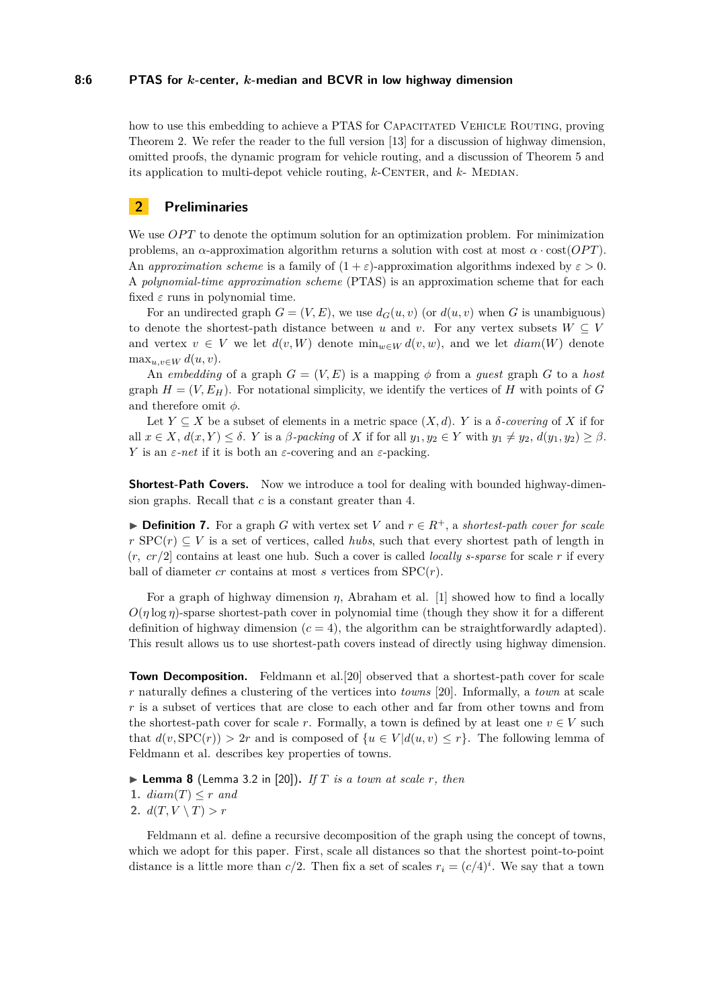#### **8:6 PTAS for** *k***-center,** *k***-median and BCVR in low highway dimension**

how to use this embedding to achieve a PTAS for CAPACITATED VEHICLE ROUTING, proving Theorem [2.](#page-2-1) We refer the reader to the full version [\[13\]](#page-13-0) for a discussion of highway dimension, omitted proofs, the dynamic program for vehicle routing, and a discussion of Theorem [5](#page-3-2) and its application to multi-depot vehicle routing, *k*-CENTER, and *k*- MEDIAN.

# <span id="page-5-0"></span>**2 Preliminaries**

We use *OPT* to denote the optimum solution for an optimization problem. For minimization problems, an *α*-approximation algorithm returns a solution with cost at most  $\alpha \cdot \text{cost}(OPT)$ . An *approximation scheme* is a family of  $(1 + \varepsilon)$ -approximation algorithms indexed by  $\varepsilon > 0$ . A *polynomial-time approximation scheme* (PTAS) is an approximation scheme that for each fixed  $\varepsilon$  runs in polynomial time.

For an undirected graph  $G = (V, E)$ , we use  $d_G(u, v)$  (or  $d(u, v)$  when G is unambiguous) to denote the shortest-path distance between *u* and *v*. For any vertex subsets  $W \subseteq V$ and vertex  $v \in V$  we let  $d(v, W)$  denote  $\min_{w \in W} d(v, w)$ , and we let  $diam(W)$  denote  $\max_{u,v\in W} d(u,v).$ 

An *embedding* of a graph  $G = (V, E)$  is a mapping  $\phi$  from a *guest* graph G to a *host* graph  $H = (V, E_H)$ . For notational simplicity, we identify the vertices of *H* with points of *G* and therefore omit *φ*.

Let  $Y \subseteq X$  be a subset of elements in a metric space  $(X, d)$ . *Y* is a *δ-covering* of *X* if for all  $x \in X$ ,  $d(x, Y) \leq \delta$ . *Y* is a  $\beta$ -packing of *X* if for all  $y_1, y_2 \in Y$  with  $y_1 \neq y_2$ ,  $d(y_1, y_2) \geq \beta$ . *Y* is an  $\varepsilon$ -net if it is both an  $\varepsilon$ -covering and an  $\varepsilon$ -packing.

**Shortest-Path Covers.** Now we introduce a tool for dealing with bounded highway-dimension graphs. Recall that *c* is a constant greater than 4.

**► Definition 7.** For a graph *G* with vertex set *V* and  $r \in R^+$ , a *shortest-path cover for scale*  $r$  SPC( $r$ )  $\subseteq$  *V* is a set of vertices, called *hubs*, such that every shortest path of length in  $(r, cr/2]$  contains at least one hub. Such a cover is called *locally s-sparse* for scale r if every ball of diameter  $cr$  contains at most  $s$  vertices from  $SPC(r)$ .

For a graph of highway dimension  $\eta$ , Abraham et al. [\[1\]](#page-12-1) showed how to find a locally  $O(\eta \log \eta)$ -sparse shortest-path cover in polynomial time (though they show it for a different definition of highway dimension  $(c = 4)$ , the algorithm can be straightforwardly adapted). This result allows us to use shortest-path covers instead of directly using highway dimension.

**Town Decomposition.** Feldmann et al.<sup>[\[20\]](#page-13-3)</sup> observed that a shortest-path cover for scale *r* naturally defines a clustering of the vertices into *towns* [\[20\]](#page-13-3). Informally, a *town* at scale *r* is a subset of vertices that are close to each other and far from other towns and from the shortest-path cover for scale *r*. Formally, a town is defined by at least one  $v \in V$  such that  $d(v, \text{SPC}(r)) > 2r$  and is composed of  $\{u \in V | d(u, v) \leq r\}$ . The following lemma of Feldmann et al. describes key properties of towns.

<span id="page-5-1"></span> $\triangleright$  **Lemma 8** (Lemma 3.2 in [\[20\]](#page-13-3)). *If T is a town at scale r, then* 

**1.**  $diam(T) \leq r$  *and* 

**2.**  $d(T, V \setminus T) > r$ 

Feldmann et al. define a recursive decomposition of the graph using the concept of towns, which we adopt for this paper. First, scale all distances so that the shortest point-to-point distance is a little more than  $c/2$ . Then fix a set of scales  $r_i = (c/4)^i$ . We say that a town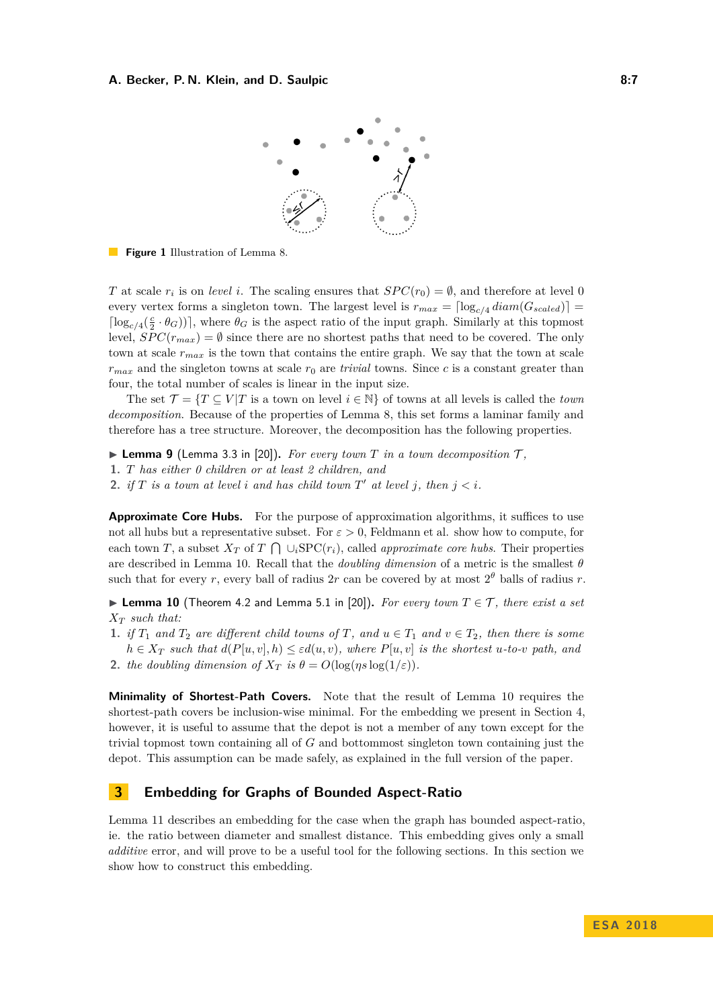

**Figure 1** Illustration of Lemma [8.](#page-5-1)

*T* at scale  $r_i$  is on *level i*. The scaling ensures that  $SPC(r_0) = \emptyset$ , and therefore at level 0 every vertex forms a singleton town. The largest level is  $r_{max} = \lceil \log_{c/4} diam(G_{scaled}) \rceil$  $\lceil \log_{c/4}(\frac{c}{2} \cdot \theta_G) \rceil$ , where  $\theta_G$  is the aspect ratio of the input graph. Similarly at this topmost level,  $SPC(r_{max}) = \emptyset$  since there are no shortest paths that need to be covered. The only town at scale *rmax* is the town that contains the entire graph. We say that the town at scale  $r_{max}$  and the singleton towns at scale  $r_0$  are *trivial* towns. Since *c* is a constant greater than four, the total number of scales is linear in the input size.

The set  $\mathcal{T} = \{T \subseteq V | T$  is a town on level  $i \in \mathbb{N}\}$  of towns at all levels is called the *town decomposition*. Because of the properties of Lemma [8,](#page-5-1) this set forms a laminar family and therefore has a tree structure. Moreover, the decomposition has the following properties.

- **Lemma 9** (Lemma 3.3 in [\[20\]](#page-13-3)). For every town  $T$  in a town decomposition  $T$ ,
- **1.** *T has either 0 children or at least 2 children, and*
- **2.** *if*  $T$  *is a town at level i and has child town*  $T'$  *at level j*, *then*  $j < i$ *.*

**Approximate Core Hubs.** For the purpose of approximation algorithms, it suffices to use not all hubs but a representative subset. For  $\varepsilon > 0$ , Feldmann et al. show how to compute, for each town *T*, a subset  $X_T$  of  $T \cap \bigcup_i \text{SPC}(r_i)$ , called *approximate core hubs*. Their properties are described in Lemma [10.](#page-6-1) Recall that the *doubling dimension* of a metric is the smallest *θ* such that for every *r*, every ball of radius  $2r$  can be covered by at most  $2^{\theta}$  balls of radius *r*.

<span id="page-6-1"></span>▶ Lemma 10 (Theorem 4.2 and Lemma 5.1 in [\[20\]](#page-13-3)). *For every town*  $T \in \mathcal{T}$ *, there exist a set X<sup>T</sup> such that:*

- **1.** *if*  $T_1$  *and*  $T_2$  *are different child towns of*  $T$ *, and*  $u \in T_1$  *and*  $v \in T_2$ *, then there is some*  $h \in X_T$  *such that*  $d(P[u, v], h) \leq \varepsilon d(u, v)$ *, where*  $P[u, v]$  *is the shortest u-to-v path, and*
- **2.** *the doubling dimension of*  $X_T$  *is*  $\theta = O(\log(\eta s \log(1/\varepsilon)))$ .

<span id="page-6-2"></span>**Minimality of Shortest-Path Covers.** Note that the result of Lemma [10](#page-6-1) requires the shortest-path covers be inclusion-wise minimal. For the embedding we present in Section [4,](#page-8-0) however, it is useful to assume that the depot is not a member of any town except for the trivial topmost town containing all of *G* and bottommost singleton town containing just the depot. This assumption can be made safely, as explained in the full version of the paper.

# <span id="page-6-0"></span>**3 Embedding for Graphs of Bounded Aspect-Ratio**

Lemma [11](#page-7-0) describes an embedding for the case when the graph has bounded aspect-ratio, ie. the ratio between diameter and smallest distance. This embedding gives only a small *additive* error, and will prove to be a useful tool for the following sections. In this section we show how to construct this embedding.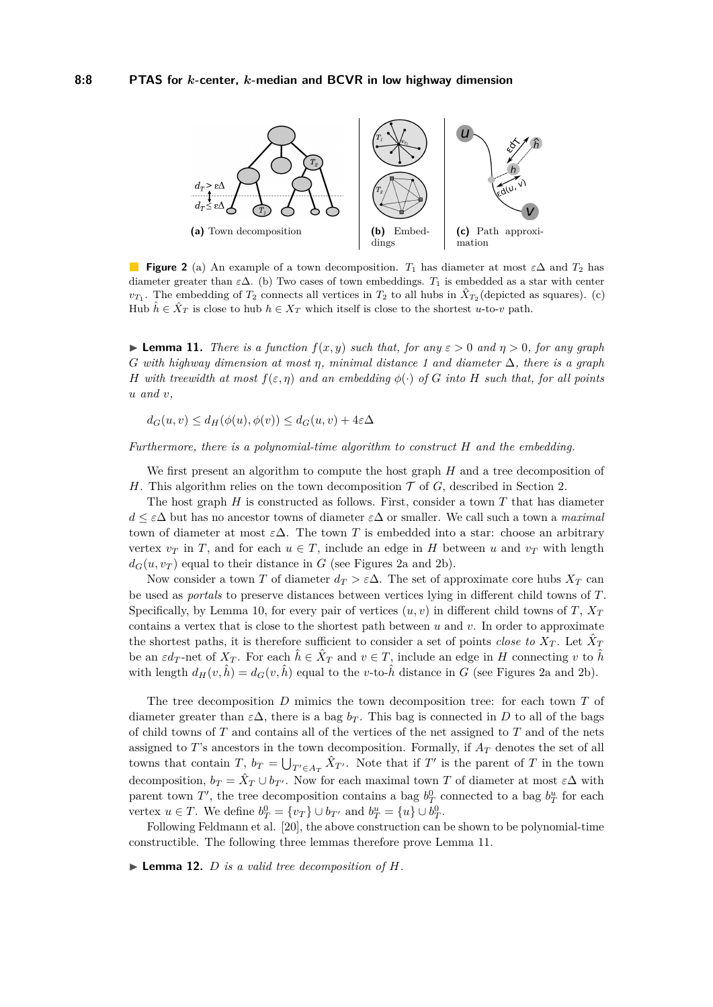<span id="page-7-1"></span>

**Figure 2** (a) An example of a town decomposition. *T*<sup>1</sup> has diameter at most *ε*∆ and *T*<sup>2</sup> has diameter greater than  $\varepsilon\Delta$ . (b) Two cases of town embeddings.  $T_1$  is embedded as a star with center  $v_{T_1}$ . The embedding of  $T_2$  connects all vertices in  $T_2$  to all hubs in  $\hat{X}_{T_2}$  (depicted as squares). (c) Hub  $\hat{h} \in \hat{X}_T$  is close to hub  $h \in X_T$  which itself is close to the shortest *u*-to-*v* path.

<span id="page-7-0"></span>**Lemma 11.** *There is a function*  $f(x, y)$  *such that, for any*  $\varepsilon > 0$  *and*  $\eta > 0$ *, for any graph G with highway dimension at most η, minimal distance 1 and diameter* ∆*, there is a graph H* with treewidth at most  $f(\varepsilon, \eta)$  and an embedding  $\phi(\cdot)$  of G into H such that, for all points *u and v,*

 $d_G(u, v) \leq d_H(\phi(u), \phi(v)) \leq d_G(u, v) + 4\varepsilon\Delta$ 

*Furthermore, there is a polynomial-time algorithm to construct H and the embedding.*

We first present an algorithm to compute the host graph *H* and a tree decomposition of *H*. This algorithm relies on the town decomposition  $\mathcal T$  of *G*, described in Section [2.](#page-5-0)

The host graph *H* is constructed as follows. First, consider a town *T* that has diameter *d* ≤ *ε*∆ but has no ancestor towns of diameter *ε*∆ or smaller. We call such a town a *maximal* town of diameter at most  $\varepsilon \Delta$ . The town T is embedded into a star: choose an arbitrary vertex  $v_T$  in *T*, and for each  $u \in T$ , include an edge in *H* between *u* and  $v_T$  with length  $d_G(u, v_T)$  equal to their distance in *G* (see Figures [2a](#page-7-1) and [2b\)](#page-7-1).

Now consider a town *T* of diameter  $d_T > \varepsilon \Delta$ . The set of approximate core hubs  $X_T$  can be used as *portals* to preserve distances between vertices lying in different child towns of *T*. Specifically, by Lemma [10,](#page-6-1) for every pair of vertices  $(u, v)$  in different child towns of *T*,  $X_T$ contains a vertex that is close to the shortest path between *u* and *v*. In order to approximate the shortest paths, it is therefore sufficient to consider a set of points *close to*  $X_T$ . Let  $\hat{X}_T$ be an  $\varepsilon d_T$ -net of  $X_T$ . For each  $\hat{h} \in \hat{X}_T$  and  $v \in T$ , include an edge in *H* connecting *v* to  $\hat{h}$ with length  $d_H(v, \hat{h}) = d_G(v, \hat{h})$  equal to the *v*-to- $\hat{h}$  distance in *G* (see Figures [2a](#page-7-1) and [2b\)](#page-7-1).

The tree decomposition *D* mimics the town decomposition tree: for each town *T* of diameter greater than  $\varepsilon \Delta$ , there is a bag  $b_T$ . This bag is connected in *D* to all of the bags of child towns of *T* and contains all of the vertices of the net assigned to *T* and of the nets assigned to *T*'s ancestors in the town decomposition. Formally, if  $A_T$  denotes the set of all towns that contain *T*,  $b_T = \bigcup_{T' \in A_T} \hat{X}_{T'}$ . Note that if *T'* is the parent of *T* in the town decomposition,  $b_T = \hat{X}_T \cup b_{T'}$ . Now for each maximal town *T* of diameter at most  $\varepsilon \Delta$  with parent town  $T'$ , the tree decomposition contains a bag  $b_T^0$  connected to a bag  $b_T^u$  for each vertex  $u \in T$ . We define  $b_T^0 = \{v_T\} \cup b_{T'}$  and  $b_T^u = \{u\} \cup b_T^0$ .

Following Feldmann et al. [\[20\]](#page-13-3), the above construction can be shown to be polynomial-time constructible. The following three lemmas therefore prove Lemma [11.](#page-7-0)

 $\blacktriangleright$  **Lemma 12.** *D is a valid tree decomposition of H.*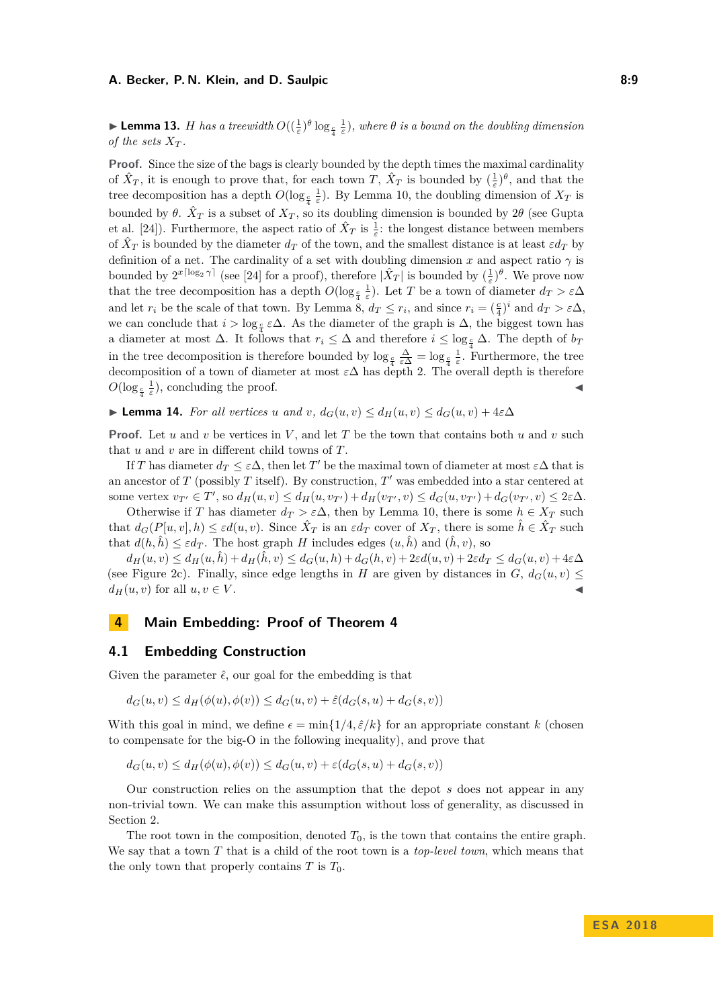#### <span id="page-8-1"></span>**Demma 13.** *H* has a treewidth  $O((\frac{1}{\varepsilon})^{\theta} \log_{\frac{\alpha}{4}})$  $\frac{1}{\varepsilon}$ ), where  $\theta$  *is a bound on the doubling dimension of the sets*  $X_T$ *.*

**Proof.** Since the size of the bags is clearly bounded by the depth times the maximal cardinality of  $\hat{X}_T$ , it is enough to prove that, for each town *T*,  $\hat{X}_T$  is bounded by  $(\frac{1}{\varepsilon})^{\theta}$ , and that the tree decomposition has a depth  $O(\log_{\frac{c}{4}})$  $\frac{1}{\varepsilon}$ ). By Lemma [10,](#page-6-1) the doubling dimension of  $X_T$  is bounded by  $\theta$ .  $\hat{X}_T$  is a subset of  $X_T$ , so its doubling dimension is bounded by  $2\theta$  (see Gupta et al. [\[24\]](#page-13-17)). Furthermore, the aspect ratio of  $\hat{X}_T$  is  $\frac{1}{\varepsilon}$ : the longest distance between members of  $\hat{X}_T$  is bounded by the diameter  $d_T$  of the town, and the smallest distance is at least  $\varepsilon d_T$  by definition of a net. The cardinality of a set with doubling dimension *x* and aspect ratio  $\gamma$  is bounded by  $2^{x\lceil \log_2 \gamma \rceil}$  (see [\[24\]](#page-13-17) for a proof), therefore  $|\hat{X}_T|$  is bounded by  $(\frac{1}{\varepsilon})^{\theta}$ . We prove now that the tree decomposition has a depth  $O(\log_{\frac{c}{4}})$  $\frac{1}{ε}$ ). Let *T* be a town of diameter  $d_T > εΔ$ and let  $r_i$  be the scale of that town. By Lemma [8,](#page-5-1)  $d_T \leq r_i$ , and since  $r_i = (\frac{c}{4})^i$  and  $d_T > \varepsilon \Delta$ , we can conclude that  $i > \log_{\frac{p}{2}} \varepsilon \Delta$ . As the diameter of the graph is  $\Delta$ , the biggest town has a diameter at most  $\Delta$ . It follows that  $r_i \leq \Delta$  and therefore  $i \leq \log_{\frac{c}{4}} \Delta$ . The depth of  $b_T$ in the tree decomposition is therefore bounded by  $\log_{\frac{c}{4}}$  $\frac{\Delta}{\varepsilon \Delta} = \log_{\frac{c}{4}}$  $\frac{1}{\varepsilon}$ . Furthermore, the tree decomposition of a town of diameter at most *ε*∆ has depth 2. The overall depth is therefore  $O(\log_{\frac{c}{4}}$  $\frac{1}{\varepsilon}$ ), concluding the proof.

 $\blacktriangleright$  **Lemma 14.** For all vertices *u* and *v*,  $d_G(u, v) \leq d_H(u, v) \leq d_G(u, v) + 4\varepsilon\Delta$ 

**Proof.** Let *u* and *v* be vertices in *V* , and let *T* be the town that contains both *u* and *v* such that *u* and *v* are in different child towns of *T*.

If *T* has diameter  $d_T \leq \varepsilon \Delta$ , then let *T*' be the maximal town of diameter at most  $\varepsilon \Delta$  that is an ancestor of  $T$  (possibly  $T$  itself). By construction,  $T'$  was embedded into a star centered at some vertex  $v_{T'} \in T'$ , so  $d_H(u, v) \leq d_H(u, v_{T'}) + d_H(v_{T'}, v) \leq d_G(u, v_{T'}) + d_G(v_{T'}, v) \leq 2\varepsilon\Delta$ .

Otherwise if *T* has diameter  $d_T > \varepsilon \Delta$ , then by Lemma [10,](#page-6-1) there is some  $h \in X_T$  such that  $d_G(P[u, v], h) \leq \varepsilon d(u, v)$ . Since  $\hat{X}_T$  is an  $\varepsilon d_T$  cover of  $X_T$ , there is some  $\hat{h} \in \hat{X}_T$  such that  $d(h, \hat{h}) \leq \varepsilon d_T$ . The host graph *H* includes edges  $(u, \hat{h})$  and  $(\hat{h}, v)$ , so

 $d_H(u, v) \leq d_H(u, \hat{h}) + d_H(\hat{h}, v) \leq d_G(u, h) + d_G(h, v) + 2\varepsilon d(u, v) + 2\varepsilon d_T \leq d_G(u, v) + 4\varepsilon \Delta$ (see Figure [2c\)](#page-7-1). Finally, since edge lengths in *H* are given by distances in *G*,  $d_G(u, v) \le$  $d_H(u, v)$  for all  $u, v \in V$ .

# <span id="page-8-0"></span>**4 Main Embedding: Proof of Theorem [4](#page-3-1)**

### **4.1 Embedding Construction**

Given the parameter  $\hat{\epsilon}$ , our goal for the embedding is that

 $d_G(u, v) \leq d_H(\phi(u), \phi(v)) \leq d_G(u, v) + \hat{\varepsilon}(d_G(s, u) + d_G(s, v))$ 

With this goal in mind, we define  $\epsilon = \min\{1/4, \hat{\epsilon}/k\}$  for an appropriate constant k (chosen to compensate for the big-O in the following inequality), and prove that

 $d_G(u, v) \leq d_H(\phi(u), \phi(v)) \leq d_G(u, v) + \varepsilon(d_G(s, u) + d_G(s, v))$ 

Our construction relies on the assumption that the depot *s* does not appear in any non-trivial town. We can make this assumption without loss of generality, as discussed in Section [2.](#page-6-2)

The root town in the composition, denoted  $T_0$ , is the town that contains the entire graph. We say that a town *T* that is a child of the root town is a *top-level town*, which means that the only town that properly contains  $T$  is  $T_0$ .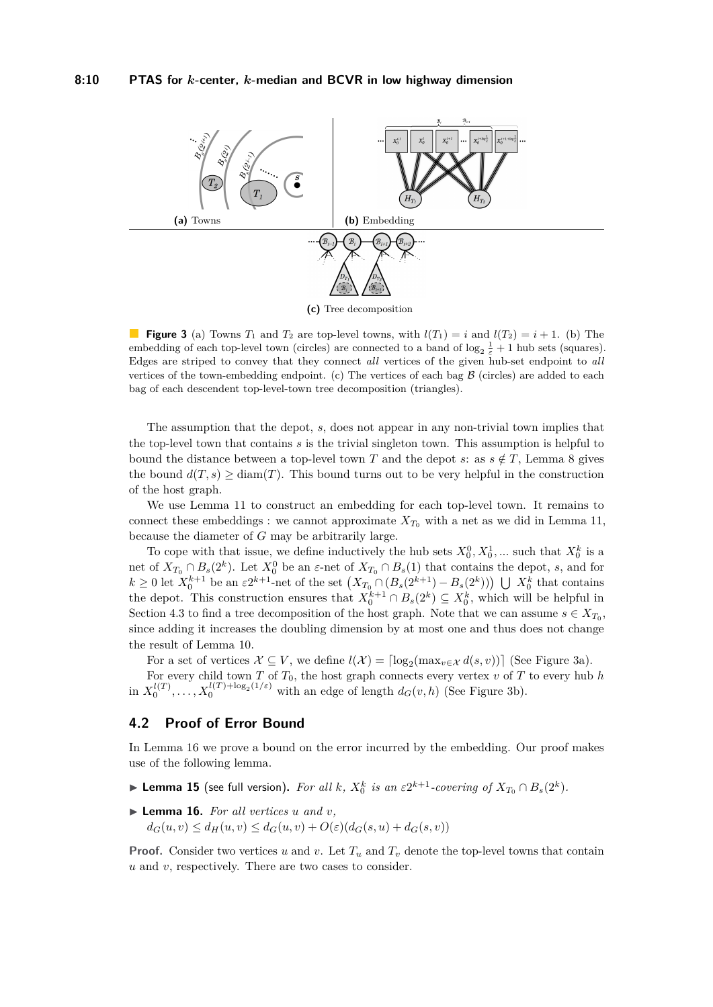<span id="page-9-0"></span>

**(c)** Tree decomposition

**Figure 3** (a) Towns  $T_1$  and  $T_2$  are top-level towns, with  $l(T_1) = i$  and  $l(T_2) = i + 1$ . (b) The embedding of each top-level town (circles) are connected to a band of  $\log_2 \frac{1}{\varepsilon} + 1$  hub sets (squares). Edges are striped to convey that they connect *all* vertices of the given hub-set endpoint to *all* vertices of the town-embedding endpoint. (c) The vertices of each bag  $\beta$  (circles) are added to each bag of each descendent top-level-town tree decomposition (triangles).

The assumption that the depot, *s*, does not appear in any non-trivial town implies that the top-level town that contains *s* is the trivial singleton town. This assumption is helpful to bound the distance between a top-level town *T* and the depot *s*: as  $s \notin T$ , Lemma [8](#page-5-1) gives the bound  $d(T, s) \geq \text{diam}(T)$ . This bound turns out to be very helpful in the construction of the host graph.

We use Lemma [11](#page-7-0) to construct an embedding for each top-level town. It remains to connect these embeddings : we cannot approximate  $X_{T_0}$  with a net as we did in Lemma [11,](#page-7-0) because the diameter of *G* may be arbitrarily large.

To cope with that issue, we define inductively the hub sets  $X_0^0, X_0^1, \dots$  such that  $X_0^k$  is a net of  $X_{T_0} \cap B_s(2^k)$ . Let  $X_0^0$  be an  $\varepsilon$ -net of  $X_{T_0} \cap B_s(1)$  that contains the depot, *s*, and for  $k \geq 0$  let  $X_0^{k+1}$  be an  $\varepsilon 2^{k+1}$ -net of the set  $(X_{T_0} \cap (B_s(2^{k+1}) - B_s(2^k)))$   $\bigcup X_0^k$  that contains the depot. This construction ensures that  $X_0^{k+1} \cap B_s(2^k) \subseteq X_0^k$ , which will be helpful in Section [4.3](#page-10-0) to find a tree decomposition of the host graph. Note that we can assume  $s \in X_{T_0}$ , since adding it increases the doubling dimension by at most one and thus does not change the result of Lemma [10.](#page-6-1)

For a set of vertices  $\mathcal{X} \subseteq V$ , we define  $l(\mathcal{X}) = \lceil \log_2(\max_{v \in \mathcal{X}} d(s, v)) \rceil$  (See Figure [3a\)](#page-9-0).

For every child town *T* of *T*0, the host graph connects every vertex *v* of *T* to every hub *h* in  $X_0^{l(T)}, \ldots, X_0^{l(T)+\log_2(1/\varepsilon)}$  with an edge of length  $d_G(v, h)$  (See Figure [3b\)](#page-9-0).

### **4.2 Proof of Error Bound**

In Lemma [16](#page-9-1) we prove a bound on the error incurred by the embedding. Our proof makes use of the following lemma.

<span id="page-9-2"></span>▶ **Lemma 15** (see full version). For all  $k$ ,  $X_0^k$  is an  $\varepsilon 2^{k+1}$ -covering of  $X_{T_0} \cap B_s(2^k)$ .

<span id="page-9-1"></span> $\blacktriangleright$  **Lemma 16.** For all vertices *u* and *v*.

 $d_G(u, v) \leq d_H(u, v) \leq d_G(u, v) + O(\varepsilon) (d_G(s, u) + d_G(s, v))$ 

**Proof.** Consider two vertices *u* and *v*. Let  $T_u$  and  $T_v$  denote the top-level towns that contain *u* and *v*, respectively. There are two cases to consider.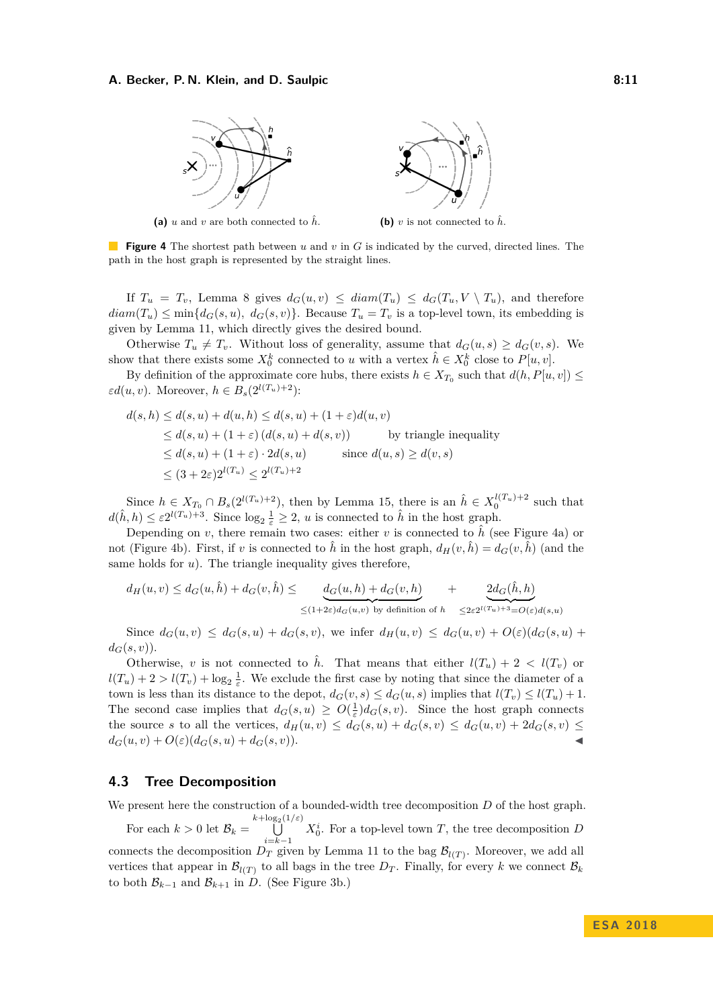#### <span id="page-10-1"></span>**A. Becker, P. N. Klein, and D. Saulpic 8:11 8:11 8:11**



**(a)** *u* and *v* are both connected to  $\hat{h}$ . **(b)** *v* is not connected to  $\hat{h}$ .



**Figure 4** The shortest path between *u* and *v* in *G* is indicated by the curved, directed lines. The path in the host graph is represented by the straight lines.

If  $T_u = T_v$ , Lemma [8](#page-5-1) gives  $d_G(u, v) \leq diam(T_u) \leq d_G(T_u, V \setminus T_u)$ , and therefore  $diam(T_u) \leq min\{d_G(s, u), d_G(s, v)\}.$  Because  $T_u = T_v$  is a top-level town, its embedding is given by Lemma [11,](#page-7-0) which directly gives the desired bound.

Otherwise  $T_u \neq T_v$ . Without loss of generality, assume that  $d_G(u, s) \geq d_G(v, s)$ . We show that there exists some  $X_0^k$  connected to *u* with a vertex  $\hat{h} \in X_0^k$  close to  $P[u, v]$ .

By definition of the approximate core hubs, there exists  $h \in X_{T_0}$  such that  $d(h, P[u, v]) \le$  $\varepsilon d(u, v)$ . Moreover,  $h \in B_s(2^{l(T_u)+2})$ :

$$
d(s,h) \leq d(s,u) + d(u,h) \leq d(s,u) + (1+\varepsilon)d(u,v)
$$
  
\n
$$
\leq d(s,u) + (1+\varepsilon) (d(s,u) + d(s,v))
$$
 by triangle inequality  
\n
$$
\leq d(s,u) + (1+\varepsilon) \cdot 2d(s,u)
$$
 since  $d(u,s) \geq d(v,s)$   
\n
$$
\leq (3+2\varepsilon)2^{l(T_u)} \leq 2^{l(T_u)+2}
$$

Since  $h \in X_{T_0} \cap B_s(2^{l(T_u)+2})$ , then by Lemma [15,](#page-9-2) there is an  $\hat{h} \in X_0^{l(T_u)+2}$  such that  $d(\hat{h}, h) \leq \varepsilon 2^{l(T_u)+3}$ . Since  $\log_2 \frac{1}{\varepsilon} \geq 2$ , *u* is connected to  $\hat{h}$  in the host graph.

Depending on *v*, there remain two cases: either *v* is connected to  $\hat{h}$  (see Figure [4a\)](#page-10-1) or not (Figure [4b\)](#page-10-1). First, if *v* is connected to  $\hat{h}$  in the host graph,  $d_H(v, \hat{h}) = d_G(v, \hat{h})$  (and the same holds for *u*). The triangle inequality gives therefore,

$$
d_H(u,v) \leq d_G(u,\hat{h}) + d_G(v,\hat{h}) \leq \underbrace{d_G(u,h) + d_G(v,h)}_{\leq (1+2\varepsilon)d_G(u,v) \text{ by definition of } h} + \underbrace{2d_G(\hat{h},h)}_{\leq 2\varepsilon 2^{l(T_u)+3} = O(\varepsilon)d(s,u)}
$$

Since  $d_G(u, v) \leq d_G(s, u) + d_G(s, v)$ , we infer  $d_H(u, v) \leq d_G(u, v) + O(\varepsilon)(d_G(s, u) +$  $d_G(s, v)$ .

Otherwise, *v* is not connected to  $\hat{h}$ . That means that either  $l(T_u) + 2 < l(T_v)$  or  $l(T_u) + 2 > l(T_v) + \log_2 \frac{1}{\varepsilon}$ . We exclude the first case by noting that since the diameter of a town is less than its distance to the depot,  $d_G(v, s) \leq d_G(u, s)$  implies that  $l(T_v) \leq l(T_u) + 1$ . The second case implies that  $d_G(s, u) \ge O(\frac{1}{\varepsilon})d_G(s, v)$ . Since the host graph connects the source *s* to all the vertices,  $d_H(u, v) \leq d_G(s, u) + d_G(s, v) \leq d_G(u, v) + 2d_G(s, v) \leq$  $d_G(u, v) + O(\varepsilon) (d_G(s, u) + d_G(s, v)).$ 

# <span id="page-10-0"></span>**4.3 Tree Decomposition**

We present here the construction of a bounded-width tree decomposition *D* of the host graph.

For each  $k > 0$  let  $\mathcal{B}_k = \bigcup^{k + \log_2(1/\varepsilon)}$ *i*=*k*−1  $X_0^i$ . For a top-level town *T*, the tree decomposition *D* connects the decomposition  $D_T$  given by Lemma [11](#page-7-0) to the bag  $\mathcal{B}_{l(T)}$ . Moreover, we add all vertices that appear in  $\mathcal{B}_{l(T)}$  to all bags in the tree  $D_T$ . Finally, for every k we connect  $\mathcal{B}_k$ to both  $\mathcal{B}_{k-1}$  and  $\mathcal{B}_{k+1}$  in *D*. (See Figure [3b.](#page-9-0))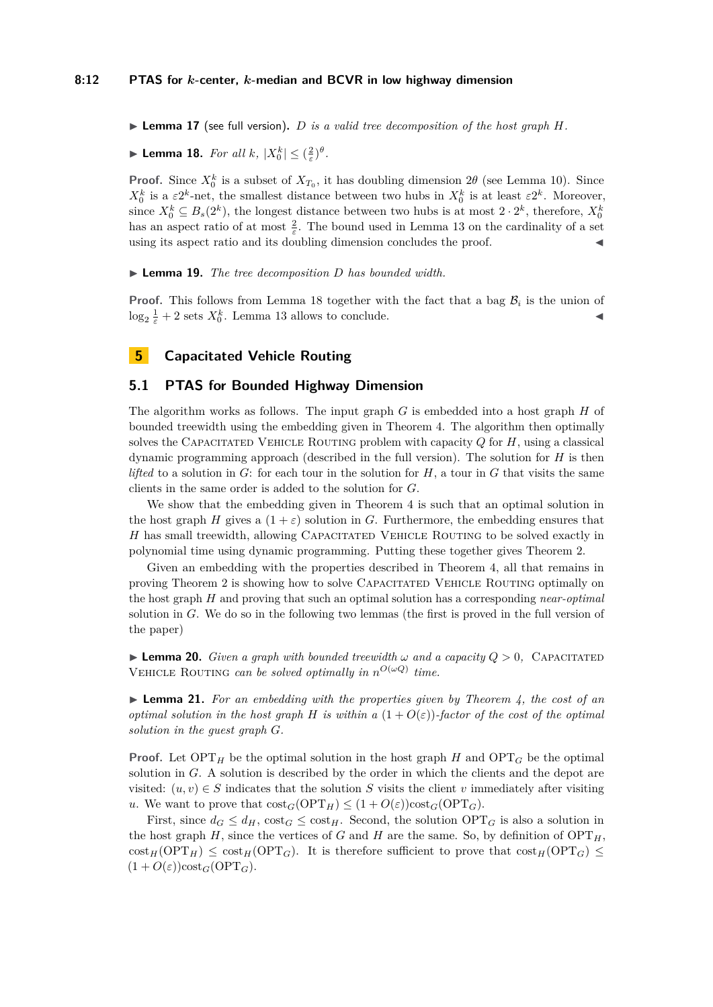#### **8:12 PTAS for** *k***-center,** *k***-median and BCVR in low highway dimension**

 $\triangleright$  **Lemma 17** (see full version). *D is a valid tree decomposition of the host graph H.* 

<span id="page-11-1"></span> $\blacktriangleright$  **Lemma 18.** *For all k*,  $|X_0^k| \leq (\frac{2}{\varepsilon})^{\theta}$ *.* 

**Proof.** Since  $X_0^k$  is a subset of  $X_{T_0}$ , it has doubling dimension  $2\theta$  (see Lemma [10\)](#page-6-1). Since  $X_0^k$  is a  $\varepsilon 2^k$ -net, the smallest distance between two hubs in  $X_0^k$  is at least  $\varepsilon 2^k$ . Moreover, since  $X_0^k \subseteq B_s(2^k)$ , the longest distance between two hubs is at most  $2 \cdot 2^k$ , therefore,  $X_0^k$ has an aspect ratio of at most  $\frac{2}{\varepsilon}$ . The bound used in Lemma [13](#page-8-1) on the cardinality of a set using its aspect ratio and its doubling dimension concludes the proof.

I **Lemma 19.** *The tree decomposition D has bounded width.*

**Proof.** This follows from Lemma [18](#page-11-1) together with the fact that a bag  $\mathcal{B}_i$  is the union of  $\log_2 \frac{1}{\varepsilon} + 2$  sets  $X_0^k$ . Lemma [13](#page-8-1) allows to conclude.

# <span id="page-11-0"></span>**5 Capacitated Vehicle Routing**

# **5.1 PTAS for Bounded Highway Dimension**

The algorithm works as follows. The input graph *G* is embedded into a host graph *H* of bounded treewidth using the embedding given in Theorem [4.](#page-3-1) The algorithm then optimally solves the CAPACITATED VEHICLE ROUTING problem with capacity  $Q$  for  $H$ , using a classical dynamic programming approach (described in the full version). The solution for *H* is then *lifted* to a solution in  $G$ : for each tour in the solution for  $H$ , a tour in  $G$  that visits the same clients in the same order is added to the solution for *G*.

We show that the embedding given in Theorem [4](#page-3-1) is such that an optimal solution in the host graph *H* gives a  $(1 + \varepsilon)$  solution in *G*. Furthermore, the embedding ensures that *H* has small treewidth, allowing CAPACITATED VEHICLE ROUTING to be solved exactly in polynomial time using dynamic programming. Putting these together gives Theorem [2.](#page-2-1)

Given an embedding with the properties described in Theorem [4,](#page-3-1) all that remains in proving Theorem [2](#page-2-1) is showing how to solve Capacitated Vehicle Routing optimally on the host graph *H* and proving that such an optimal solution has a corresponding *near-optimal* solution in *G*. We do so in the following two lemmas (the first is proved in the full version of the paper)

**Lemma 20.** *Given a graph with bounded treewidth*  $\omega$  *and a capacity*  $Q > 0$ , CAPACITATED VEHICLE ROUTING *can be solved optimally in*  $n^{O(\omega Q)}$  *time.* 

I **Lemma 21.** *For an embedding with the properties given by Theorem [4,](#page-3-1) the cost of an optimal solution in the host graph H is within a*  $(1 + O(\varepsilon))$ *-factor of the cost of the optimal solution in the guest graph G.*

**Proof.** Let  $\text{OPT}_H$  be the optimal solution in the host graph *H* and  $\text{OPT}_G$  be the optimal solution in *G*. A solution is described by the order in which the clients and the depot are visited:  $(u, v) \in S$  indicates that the solution *S* visits the client *v* immediately after visiting *u*. We want to prove that  $\text{cost}_G(\text{OPT}_H) \leq (1 + O(\varepsilon))\text{cost}_G(\text{OPT}_G)$ .

First, since  $d_G \leq d_H$ ,  $cost_G \leq cost_H$ . Second, the solution  $OPT_G$  is also a solution in the host graph  $H$ , since the vertices of *G* and *H* are the same. So, by definition of  $\text{OPT}_H$ ,  $\cot_H(\text{OPT}_H) \leq \cot_H(\text{OPT}_G)$ . It is therefore sufficient to prove that  $\cot_H(\text{OPT}_G) \leq$  $(1 + O(\varepsilon))\text{cost}_G(\text{OPT}_G).$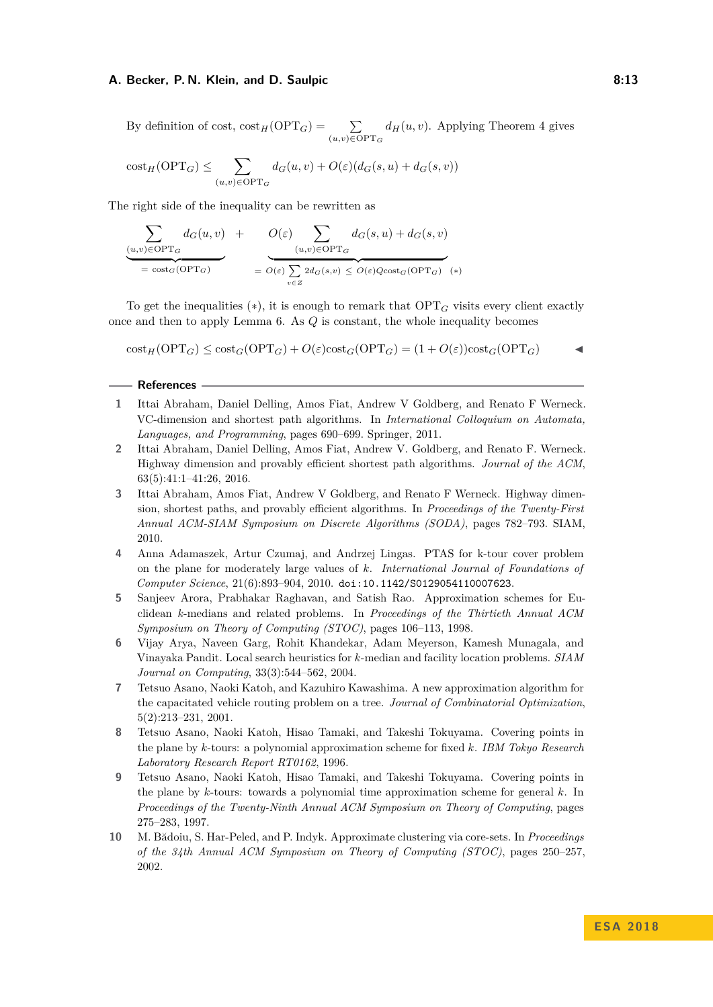By definition of cost,  $\text{cost}_H(\text{OPT}_G) = \sum$ (*u,v*)∈OPT*<sup>G</sup>*  $d_H(u, v)$ . Applying Theorem [4](#page-3-1) gives

$$
\mathrm{cost}_{H}(\mathrm{OPT}_G) \le \sum_{(u,v)\in \mathrm{OPT}_G} d_G(u,v) + O(\varepsilon)(d_G(s,u) + d_G(s,v))
$$

The right side of the inequality can be rewritten as

$$
\underbrace{\sum_{(u,v)\in \text{OPT}_G} d_G(u,v)}_{= \text{cost}_G(\text{OPT}_G)} + \underbrace{O(\varepsilon)}_{= O(\varepsilon)} \underbrace{\sum_{(u,v)\in \text{OPT}_G} d_G(s,u) + d_G(s,v)}_{= O(\varepsilon) \sum_{v\in Z} 2d_G(s,v) \le O(\varepsilon) Q\text{cost}_G(\text{OPT}_G) \quad (*)}
$$

To get the inequalities  $(*),$  it is enough to remark that  $\text{OPT}_G$  visits every client exactly once and then to apply Lemma [6.](#page-4-1) As *Q* is constant, the whole inequality becomes

$$
\text{cost}_H(\text{OPT}_G) \le \text{cost}_G(\text{OPT}_G) + O(\varepsilon)\text{cost}_G(\text{OPT}_G) = (1 + O(\varepsilon))\text{cost}_G(\text{OPT}_G)
$$

### **References**

- <span id="page-12-1"></span>**1** Ittai Abraham, Daniel Delling, Amos Fiat, Andrew V Goldberg, and Renato F Werneck. VC-dimension and shortest path algorithms. In *International Colloquium on Automata, Languages, and Programming*, pages 690–699. Springer, 2011.
- <span id="page-12-2"></span>**2** Ittai Abraham, Daniel Delling, Amos Fiat, Andrew V. Goldberg, and Renato F. Werneck. Highway dimension and provably efficient shortest path algorithms. *Journal of the ACM*, 63(5):41:1–41:26, 2016.
- <span id="page-12-0"></span>**3** Ittai Abraham, Amos Fiat, Andrew V Goldberg, and Renato F Werneck. Highway dimension, shortest paths, and provably efficient algorithms. In *Proceedings of the Twenty-First Annual ACM-SIAM Symposium on Discrete Algorithms (SODA)*, pages 782–793. SIAM, 2010.
- <span id="page-12-5"></span>**4** Anna Adamaszek, Artur Czumaj, and Andrzej Lingas. PTAS for k-tour cover problem on the plane for moderately large values of *k*. *International Journal of Foundations of Computer Science*, 21(6):893–904, 2010. [doi:10.1142/S0129054110007623](http://dx.doi.org/10.1142/S0129054110007623).
- <span id="page-12-9"></span>**5** Sanjeev Arora, Prabhakar Raghavan, and Satish Rao. Approximation schemes for Euclidean *k*-medians and related problems. In *Proceedings of the Thirtieth Annual ACM Symposium on Theory of Computing (STOC)*, pages 106–113, 1998.
- <span id="page-12-7"></span>**6** Vijay Arya, Naveen Garg, Rohit Khandekar, Adam Meyerson, Kamesh Munagala, and Vinayaka Pandit. Local search heuristics for *k*-median and facility location problems. *SIAM Journal on Computing*, 33(3):544–562, 2004.
- <span id="page-12-6"></span>**7** Tetsuo Asano, Naoki Katoh, and Kazuhiro Kawashima. A new approximation algorithm for the capacitated vehicle routing problem on a tree. *Journal of Combinatorial Optimization*, 5(2):213–231, 2001.
- <span id="page-12-4"></span>**8** Tetsuo Asano, Naoki Katoh, Hisao Tamaki, and Takeshi Tokuyama. Covering points in the plane by *k*-tours: a polynomial approximation scheme for fixed *k*. *IBM Tokyo Research Laboratory Research Report RT0162*, 1996.
- <span id="page-12-3"></span>**9** Tetsuo Asano, Naoki Katoh, Hisao Tamaki, and Takeshi Tokuyama. Covering points in the plane by *k*-tours: towards a polynomial time approximation scheme for general *k*. In *Proceedings of the Twenty-Ninth Annual ACM Symposium on Theory of Computing*, pages 275–283, 1997.
- <span id="page-12-8"></span>**10** M. Bădoiu, S. Har-Peled, and P. Indyk. Approximate clustering via core-sets. In *Proceedings of the 34th Annual ACM Symposium on Theory of Computing (STOC)*, pages 250–257, 2002.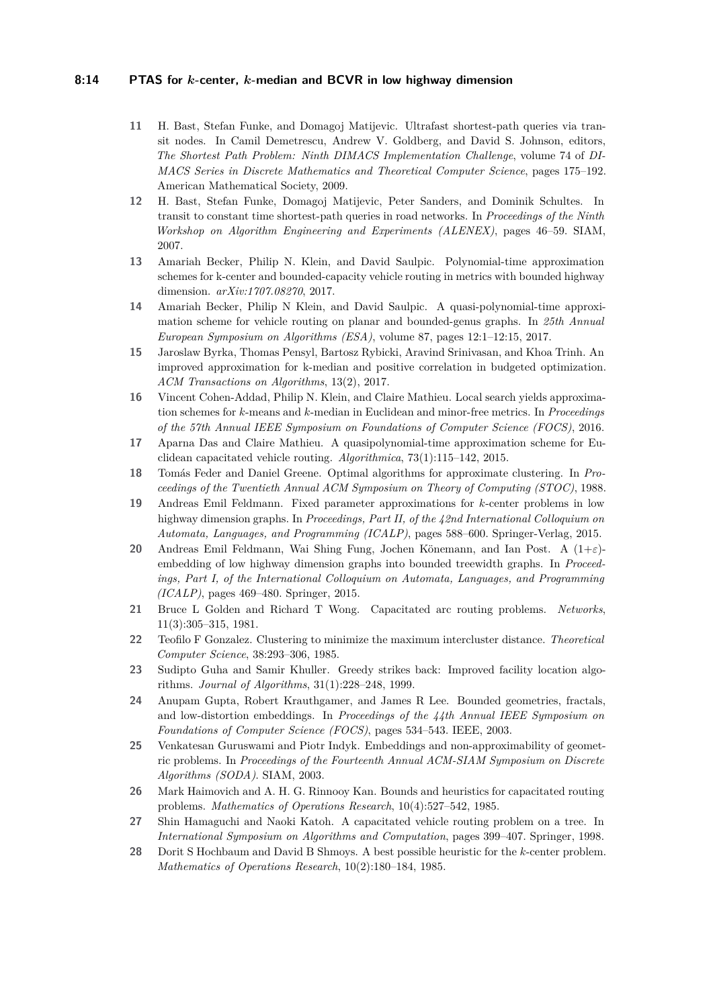### **8:14 PTAS for** *k***-center,** *k***-median and BCVR in low highway dimension**

- <span id="page-13-1"></span>**11** H. Bast, Stefan Funke, and Domagoj Matijevic. Ultrafast shortest-path queries via transit nodes. In Camil Demetrescu, Andrew V. Goldberg, and David S. Johnson, editors, *The Shortest Path Problem: Ninth DIMACS Implementation Challenge*, volume 74 of *DI-MACS Series in Discrete Mathematics and Theoretical Computer Science*, pages 175–192. American Mathematical Society, 2009.
- <span id="page-13-2"></span>**12** H. Bast, Stefan Funke, Domagoj Matijevic, Peter Sanders, and Dominik Schultes. In transit to constant time shortest-path queries in road networks. In *Proceedings of the Ninth Workshop on Algorithm Engineering and Experiments (ALENEX)*, pages 46–59. SIAM, 2007.
- <span id="page-13-0"></span>**13** Amariah Becker, Philip N. Klein, and David Saulpic. Polynomial-time approximation schemes for k-center and bounded-capacity vehicle routing in metrics with bounded highway dimension. *arXiv:1707.08270*, 2017.
- <span id="page-13-12"></span>**14** Amariah Becker, Philip N Klein, and David Saulpic. A quasi-polynomial-time approximation scheme for vehicle routing on planar and bounded-genus graphs. In *25th Annual European Symposium on Algorithms (ESA)*, volume 87, pages 12:1–12:15, 2017.
- <span id="page-13-13"></span>**15** Jaroslaw Byrka, Thomas Pensyl, Bartosz Rybicki, Aravind Srinivasan, and Khoa Trinh. An improved approximation for k-median and positive correlation in budgeted optimization. *ACM Transactions on Algorithms*, 13(2), 2017.
- <span id="page-13-16"></span>**16** Vincent Cohen-Addad, Philip N. Klein, and Claire Mathieu. Local search yields approximation schemes for *k*-means and *k*-median in Euclidean and minor-free metrics. In *Proceedings of the 57th Annual IEEE Symposium on Foundations of Computer Science (FOCS)*, 2016.
- <span id="page-13-10"></span>**17** Aparna Das and Claire Mathieu. A quasipolynomial-time approximation scheme for Euclidean capacitated vehicle routing. *Algorithmica*, 73(1):115–142, 2015.
- <span id="page-13-8"></span>**18** Tomás Feder and Daniel Greene. Optimal algorithms for approximate clustering. In *Proceedings of the Twentieth Annual ACM Symposium on Theory of Computing (STOC)*, 1988.
- <span id="page-13-4"></span>**19** Andreas Emil Feldmann. Fixed parameter approximations for *k*-center problems in low highway dimension graphs. In *Proceedings, Part II, of the 42nd International Colloquium on Automata, Languages, and Programming (ICALP)*, pages 588–600. Springer-Verlag, 2015.
- <span id="page-13-3"></span>**20** Andreas Emil Feldmann, Wai Shing Fung, Jochen Könemann, and Ian Post. A (1+*ε*) embedding of low highway dimension graphs into bounded treewidth graphs. In *Proceedings, Part I, of the International Colloquium on Automata, Languages, and Programming (ICALP)*, pages 469–480. Springer, 2015.
- <span id="page-13-5"></span>**21** Bruce L Golden and Richard T Wong. Capacitated arc routing problems. *Networks*, 11(3):305–315, 1981.
- <span id="page-13-6"></span>**22** Teofilo F Gonzalez. Clustering to minimize the maximum intercluster distance. *Theoretical Computer Science*, 38:293–306, 1985.
- <span id="page-13-14"></span>**23** Sudipto Guha and Samir Khuller. Greedy strikes back: Improved facility location algorithms. *Journal of Algorithms*, 31(1):228–248, 1999.
- <span id="page-13-17"></span>**24** Anupam Gupta, Robert Krauthgamer, and James R Lee. Bounded geometries, fractals, and low-distortion embeddings. In *Proceedings of the 44th Annual IEEE Symposium on Foundations of Computer Science (FOCS)*, pages 534–543. IEEE, 2003.
- <span id="page-13-15"></span>**25** Venkatesan Guruswami and Piotr Indyk. Embeddings and non-approximability of geometric problems. In *Proceedings of the Fourteenth Annual ACM-SIAM Symposium on Discrete Algorithms (SODA)*. SIAM, 2003.
- <span id="page-13-9"></span>**26** Mark Haimovich and A. H. G. Rinnooy Kan. Bounds and heuristics for capacitated routing problems. *Mathematics of Operations Research*, 10(4):527–542, 1985.
- <span id="page-13-11"></span>**27** Shin Hamaguchi and Naoki Katoh. A capacitated vehicle routing problem on a tree. In *International Symposium on Algorithms and Computation*, pages 399–407. Springer, 1998.
- <span id="page-13-7"></span>**28** Dorit S Hochbaum and David B Shmoys. A best possible heuristic for the *k*-center problem. *Mathematics of Operations Research*, 10(2):180–184, 1985.